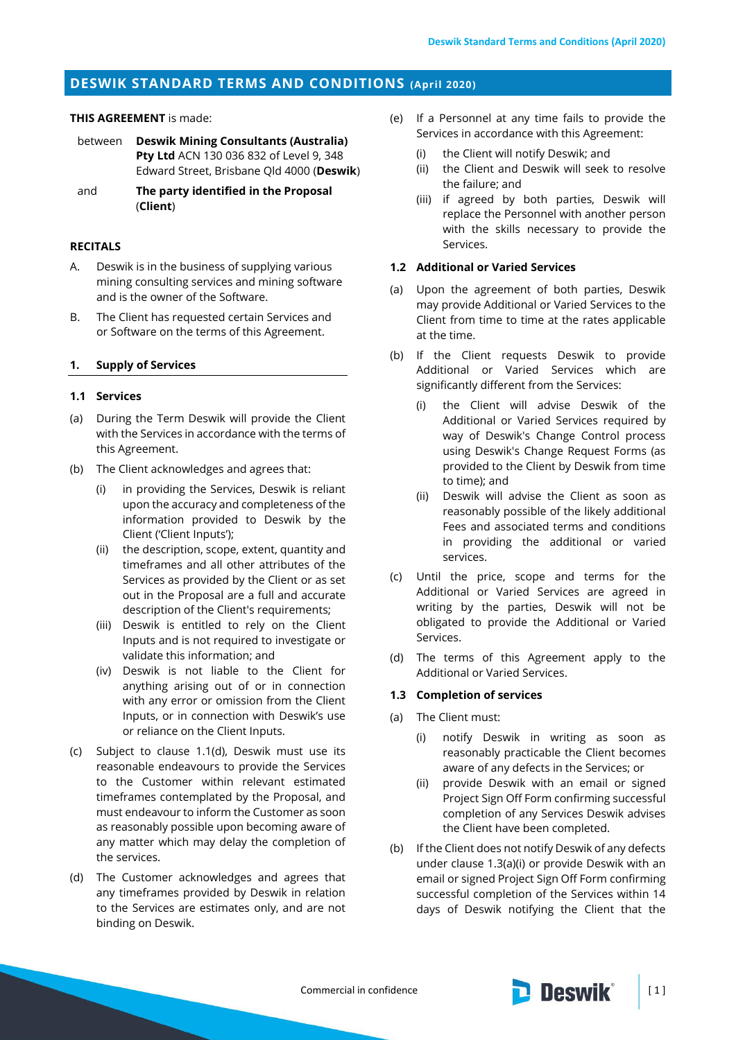# **DESWIK STANDARD TERMS AND CONDITIONS (April 2020)**

### **THIS AGREEMENT** is made:

- between **Deswik Mining Consultants (Australia) Pty Ltd** ACN 130 036 832 of Level 9, 348 Edward Street, Brisbane Qld 4000 (**Deswik**)
- and **The party identified in the Proposal**  (**Client**)

### **RECITALS**

- A. Deswik is in the business of supplying various mining consulting services and mining software and is the owner of the Software.
- B. The Client has requested certain Services and or Software on the terms of this Agreement.

#### **1. Supply of Services**

#### **1.1 Services**

- (a) During the Term Deswik will provide the Client with the Services in accordance with the terms of this Agreement.
- (b) The Client acknowledges and agrees that:
	- (i) in providing the Services, Deswik is reliant upon the accuracy and completeness of the information provided to Deswik by the Client ('Client Inputs');
	- (ii) the description, scope, extent, quantity and timeframes and all other attributes of the Services as provided by the Client or as set out in the Proposal are a full and accurate description of the Client's requirements;
	- (iii) Deswik is entitled to rely on the Client Inputs and is not required to investigate or validate this information; and
	- (iv) Deswik is not liable to the Client for anything arising out of or in connection with any error or omission from the Client Inputs, or in connection with Deswik's use or reliance on the Client Inputs.
- (c) Subject to clause [1.1\(d\),](#page-0-0) Deswik must use its reasonable endeavours to provide the Services to the Customer within relevant estimated timeframes contemplated by the Proposal, and must endeavour to inform the Customer as soon as reasonably possible upon becoming aware of any matter which may delay the completion of the services.
- <span id="page-0-0"></span>(d) The Customer acknowledges and agrees that any timeframes provided by Deswik in relation to the Services are estimates only, and are not binding on Deswik.
- (e) If a Personnel at any time fails to provide the Services in accordance with this Agreement:
	- (i) the Client will notify Deswik; and
	- (ii) the Client and Deswik will seek to resolve the failure; and
	- (iii) if agreed by both parties, Deswik will replace the Personnel with another person with the skills necessary to provide the Services.

### **1.2 Additional or Varied Services**

- (a) Upon the agreement of both parties, Deswik may provide Additional or Varied Services to the Client from time to time at the rates applicable at the time.
- (b) If the Client requests Deswik to provide Additional or Varied Services which are significantly different from the Services:
	- (i) the Client will advise Deswik of the Additional or Varied Services required by way of Deswik's Change Control process using Deswik's Change Request Forms (as provided to the Client by Deswik from time to time); and
	- (ii) Deswik will advise the Client as soon as reasonably possible of the likely additional Fees and associated terms and conditions in providing the additional or varied services.
- (c) Until the price, scope and terms for the Additional or Varied Services are agreed in writing by the parties, Deswik will not be obligated to provide the Additional or Varied Services.
- (d) The terms of this Agreement apply to the Additional or Varied Services.

#### **1.3 Completion of services**

- <span id="page-0-1"></span>(a) The Client must:
	- (i) notify Deswik in writing as soon as reasonably practicable the Client becomes aware of any defects in the Services; or
	- (ii) provide Deswik with an email or signed Project Sign Off Form confirming successful completion of any Services Deswik advises the Client have been completed.
- (b) If the Client does not notify Deswik of any defects under clause [1.3\(a\)\(i\)](#page-0-1) or provide Deswik with an email or signed Project Sign Off Form confirming successful completion of the Services within 14 days of Deswik notifying the Client that the

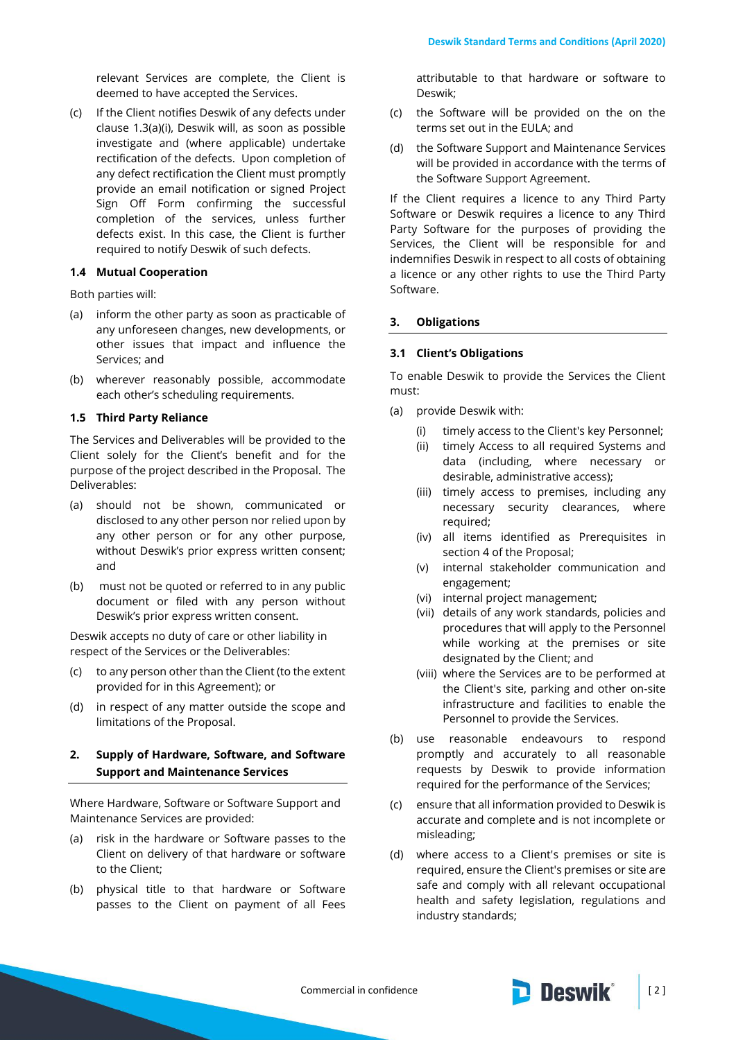relevant Services are complete, the Client is deemed to have accepted the Services.

(c) If the Client notifies Deswik of any defects under clause [1.3\(a\)\(i\),](#page-0-1) Deswik will, as soon as possible investigate and (where applicable) undertake rectification of the defects. Upon completion of any defect rectification the Client must promptly provide an email notification or signed Project Sign Off Form confirming the successful completion of the services, unless further defects exist. In this case, the Client is further required to notify Deswik of such defects.

### **1.4 Mutual Cooperation**

Both parties will:

- (a) inform the other party as soon as practicable of any unforeseen changes, new developments, or other issues that impact and influence the Services; and
- (b) wherever reasonably possible, accommodate each other's scheduling requirements.

#### **1.5 Third Party Reliance**

The Services and Deliverables will be provided to the Client solely for the Client's benefit and for the purpose of the project described in the Proposal. The Deliverables:

- (a) should not be shown, communicated or disclosed to any other person nor relied upon by any other person or for any other purpose, without Deswik's prior express written consent; and
- (b) must not be quoted or referred to in any public document or filed with any person without Deswik's prior express written consent.

Deswik accepts no duty of care or other liability in respect of the Services or the Deliverables:

- (c) to any person other than the Client (to the extent provided for in this Agreement); or
- (d) in respect of any matter outside the scope and limitations of the Proposal.

# **2. Supply of Hardware, Software, and Software Support and Maintenance Services**

Where Hardware, Software or Software Support and Maintenance Services are provided:

- (a) risk in the hardware or Software passes to the Client on delivery of that hardware or software to the Client;
- (b) physical title to that hardware or Software passes to the Client on payment of all Fees

attributable to that hardware or software to Deswik;

- (c) the Software will be provided on the on the terms set out in the EULA; and
- (d) the Software Support and Maintenance Services will be provided in accordance with the terms of the Software Support Agreement.

If the Client requires a licence to any Third Party Software or Deswik requires a licence to any Third Party Software for the purposes of providing the Services, the Client will be responsible for and indemnifies Deswik in respect to all costs of obtaining a licence or any other rights to use the Third Party Software.

### **3. Obligations**

### <span id="page-1-0"></span>**3.1 Client's Obligations**

To enable Deswik to provide the Services the Client must:

- (a) provide Deswik with:
	- (i) timely access to the Client's key Personnel;
	- (ii) timely Access to all required Systems and data (including, where necessary or desirable, administrative access);
	- (iii) timely access to premises, including any necessary security clearances, where required;
	- (iv) all items identified as Prerequisites in section 4 of the Proposal;
	- (v) internal stakeholder communication and engagement;
	- (vi) internal project management;
	- (vii) details of any work standards, policies and procedures that will apply to the Personnel while working at the premises or site designated by the Client; and
	- (viii) where the Services are to be performed at the Client's site, parking and other on-site infrastructure and facilities to enable the Personnel to provide the Services.
- (b) use reasonable endeavours to respond promptly and accurately to all reasonable requests by Deswik to provide information required for the performance of the Services;
- (c) ensure that all information provided to Deswik is accurate and complete and is not incomplete or misleading;
- (d) where access to a Client's premises or site is required, ensure the Client's premises or site are safe and comply with all relevant occupational health and safety legislation, regulations and industry standards;

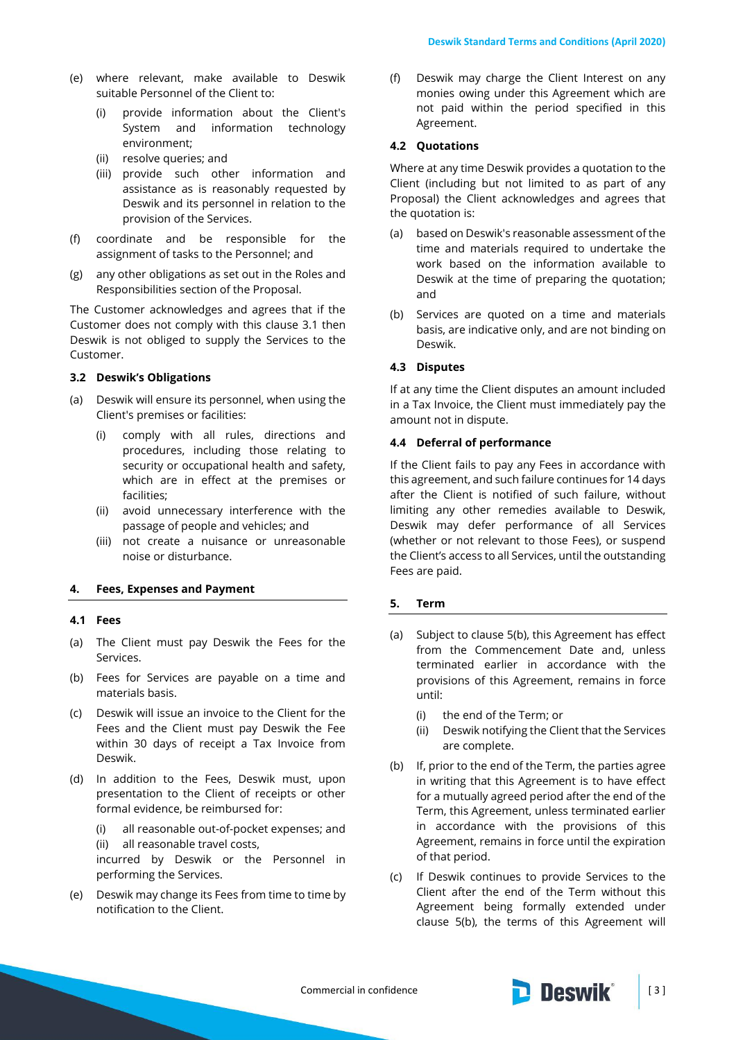- (e) where relevant, make available to Deswik suitable Personnel of the Client to:
	- (i) provide information about the Client's System and information technology environment;
	- (ii) resolve queries; and
	- (iii) provide such other information and assistance as is reasonably requested by Deswik and its personnel in relation to the provision of the Services.
- (f) coordinate and be responsible for the assignment of tasks to the Personnel; and
- (g) any other obligations as set out in the Roles and Responsibilities section of the Proposal.

The Customer acknowledges and agrees that if the Customer does not comply with this clause [3.1](#page-1-0) then Deswik is not obliged to supply the Services to the Customer.

### **3.2 Deswik's Obligations**

- (a) Deswik will ensure its personnel, when using the Client's premises or facilities:
	- (i) comply with all rules, directions and procedures, including those relating to security or occupational health and safety, which are in effect at the premises or facilities;
	- (ii) avoid unnecessary interference with the passage of people and vehicles; and
	- (iii) not create a nuisance or unreasonable noise or disturbance.

### **4. Fees, Expenses and Payment**

#### **4.1 Fees**

- (a) The Client must pay Deswik the Fees for the Services.
- (b) Fees for Services are payable on a time and materials basis.
- (c) Deswik will issue an invoice to the Client for the Fees and the Client must pay Deswik the Fee within 30 days of receipt a Tax Invoice from Deswik.
- (d) In addition to the Fees, Deswik must, upon presentation to the Client of receipts or other formal evidence, be reimbursed for:
	- (i) all reasonable out-of-pocket expenses; and (ii) all reasonable travel costs,

incurred by Deswik or the Personnel in performing the Services.

(e) Deswik may change its Fees from time to time by notification to the Client.

(f) Deswik may charge the Client Interest on any monies owing under this Agreement which are not paid within the period specified in this Agreement.

#### **4.2 Quotations**

Where at any time Deswik provides a quotation to the Client (including but not limited to as part of any Proposal) the Client acknowledges and agrees that the quotation is:

- (a) based on Deswik's reasonable assessment of the time and materials required to undertake the work based on the information available to Deswik at the time of preparing the quotation; and
- (b) Services are quoted on a time and materials basis, are indicative only, and are not binding on Deswik.

### **4.3 Disputes**

If at any time the Client disputes an amount included in a Tax Invoice, the Client must immediately pay the amount not in dispute.

# **4.4 Deferral of performance**

If the Client fails to pay any Fees in accordance with this agreement, and such failure continues for 14 days after the Client is notified of such failure, without limiting any other remedies available to Deswik, Deswik may defer performance of all Services (whether or not relevant to those Fees), or suspend the Client's access to all Services, until the outstanding Fees are paid.

### **5. Term**

- (a) Subject to clause [5\(b\),](#page-2-0) this Agreement has effect from the Commencement Date and, unless terminated earlier in accordance with the provisions of this Agreement, remains in force until:
	- (i) the end of the Term; or
	- (ii) Deswik notifying the Client that the Services are complete.
- <span id="page-2-0"></span>(b) If, prior to the end of the Term, the parties agree in writing that this Agreement is to have effect for a mutually agreed period after the end of the Term, this Agreement, unless terminated earlier in accordance with the provisions of this Agreement, remains in force until the expiration of that period.
- <span id="page-2-1"></span>(c) If Deswik continues to provide Services to the Client after the end of the Term without this Agreement being formally extended under clause [5\(b\),](#page-2-0) the terms of this Agreement will

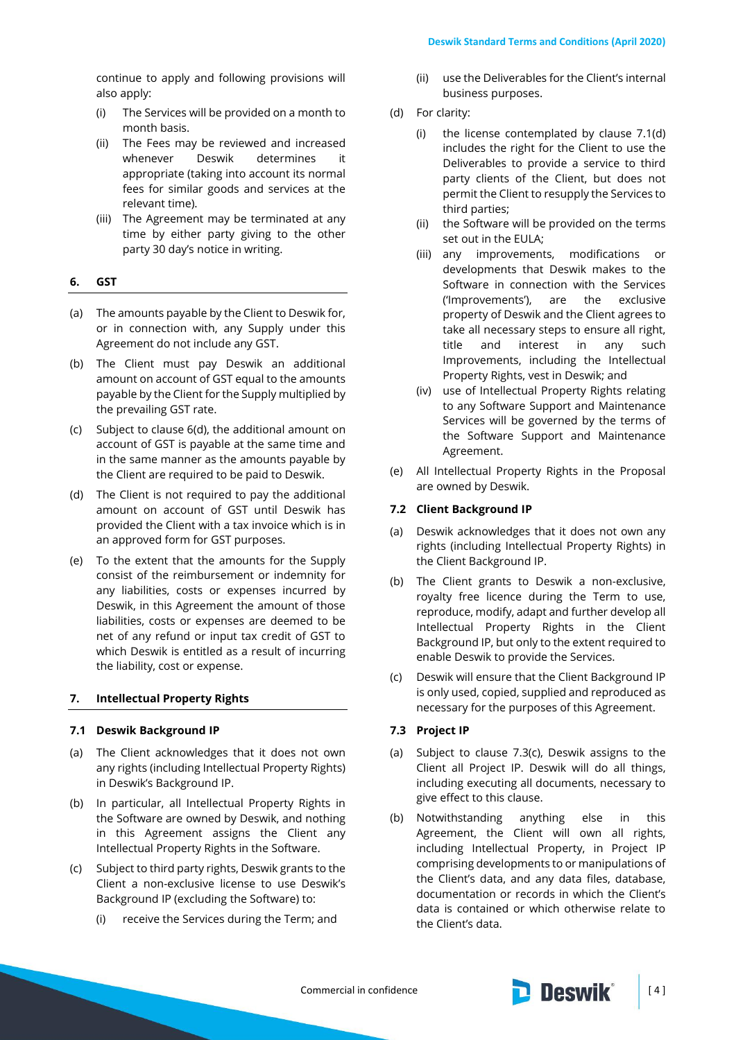continue to apply and following provisions will also apply:

- (i) The Services will be provided on a month to month basis.
- (ii) The Fees may be reviewed and increased whenever Deswik determines it appropriate (taking into account its normal fees for similar goods and services at the relevant time).
- (iii) The Agreement may be terminated at any time by either party giving to the other party 30 day's notice in writing.

# **6. GST**

- (a) The amounts payable by the Client to Deswik for, or in connection with, any Supply under this Agreement do not include any GST.
- (b) The Client must pay Deswik an additional amount on account of GST equal to the amounts payable by the Client for the Supply multiplied by the prevailing GST rate.
- (c) Subject to clause [6\(d\),](#page-3-0) the additional amount on account of GST is payable at the same time and in the same manner as the amounts payable by the Client are required to be paid to Deswik.
- <span id="page-3-0"></span>(d) The Client is not required to pay the additional amount on account of GST until Deswik has provided the Client with a tax invoice which is in an approved form for GST purposes.
- (e) To the extent that the amounts for the Supply consist of the reimbursement or indemnity for any liabilities, costs or expenses incurred by Deswik, in this Agreement the amount of those liabilities, costs or expenses are deemed to be net of any refund or input tax credit of GST to which Deswik is entitled as a result of incurring the liability, cost or expense.

# **7. Intellectual Property Rights**

# **7.1 Deswik Background IP**

- (a) The Client acknowledges that it does not own any rights (including Intellectual Property Rights) in Deswik's Background IP.
- (b) In particular, all Intellectual Property Rights in the Software are owned by Deswik, and nothing in this Agreement assigns the Client any Intellectual Property Rights in the Software.
- (c) Subject to third party rights, Deswik grants to the Client a non-exclusive license to use Deswik's Background IP (excluding the Software) to:
	- (i) receive the Services during the Term; and
- (ii) use the Deliverables for the Client's internal business purposes.
- (d) For clarity:
	- (i) the license contemplated by clause 7.1(d) includes the right for the Client to use the Deliverables to provide a service to third party clients of the Client, but does not permit the Client to resupply the Services to third parties;
	- (ii) the Software will be provided on the terms set out in the EULA;
	- (iii) any improvements, modifications or developments that Deswik makes to the Software in connection with the Services ('Improvements'), are the exclusive property of Deswik and the Client agrees to take all necessary steps to ensure all right, title and interest in any such Improvements, including the Intellectual Property Rights, vest in Deswik; and
	- (iv) use of Intellectual Property Rights relating to any Software Support and Maintenance Services will be governed by the terms of the Software Support and Maintenance Agreement.
- (e) All Intellectual Property Rights in the Proposal are owned by Deswik.

# **7.2 Client Background IP**

- (a) Deswik acknowledges that it does not own any rights (including Intellectual Property Rights) in the Client Background IP.
- (b) The Client grants to Deswik a non-exclusive, royalty free licence during the Term to use, reproduce, modify, adapt and further develop all Intellectual Property Rights in the Client Background IP, but only to the extent required to enable Deswik to provide the Services.
- (c) Deswik will ensure that the Client Background IP is only used, copied, supplied and reproduced as necessary for the purposes of this Agreement.

# **7.3 Project IP**

- (a) Subject to clause 7.3(c), Deswik assigns to the Client all Project IP. Deswik will do all things, including executing all documents, necessary to give effect to this clause.
- (b) Notwithstanding anything else in this Agreement, the Client will own all rights, including Intellectual Property, in Project IP comprising developments to or manipulations of the Client's data, and any data files, database, documentation or records in which the Client's data is contained or which otherwise relate to the Client's data.

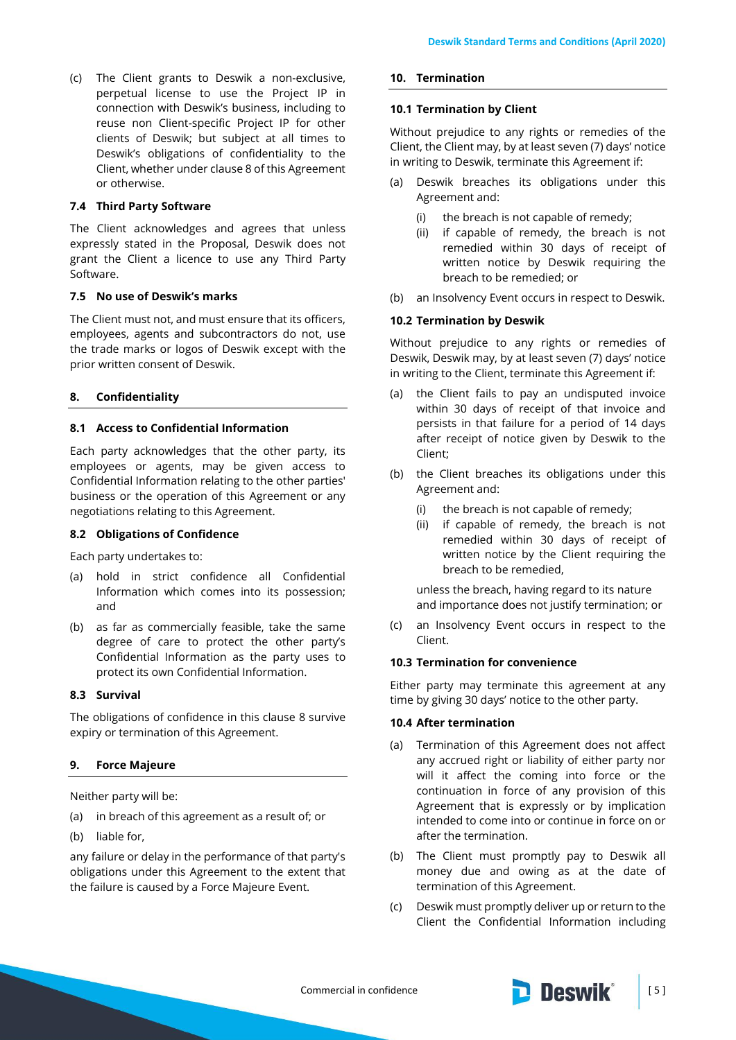(c) The Client grants to Deswik a non-exclusive, perpetual license to use the Project IP in connection with Deswik's business, including to reuse non Client-specific Project IP for other clients of Deswik; but subject at all times to Deswik's obligations of confidentiality to the Client, whether under clause 8 of this Agreement or otherwise.

### **7.4 Third Party Software**

The Client acknowledges and agrees that unless expressly stated in the Proposal, Deswik does not grant the Client a licence to use any Third Party Software.

### **7.5 No use of Deswik's marks**

The Client must not, and must ensure that its officers, employees, agents and subcontractors do not, use the trade marks or logos of Deswik except with the prior written consent of Deswik.

### <span id="page-4-0"></span>**8. Confidentiality**

### **8.1 Access to Confidential Information**

Each party acknowledges that the other party, its employees or agents, may be given access to Confidential Information relating to the other parties' business or the operation of this Agreement or any negotiations relating to this Agreement.

### **8.2 Obligations of Confidence**

Each party undertakes to:

- (a) hold in strict confidence all Confidential Information which comes into its possession; and
- (b) as far as commercially feasible, take the same degree of care to protect the other party's Confidential Information as the party uses to protect its own Confidential Information.

# **8.3 Survival**

The obligations of confidence in this clause [8](#page-4-0) survive expiry or termination of this Agreement.

### **9. Force Majeure**

Neither party will be:

- (a) in breach of this agreement as a result of; or
- (b) liable for,

any failure or delay in the performance of that party's obligations under this Agreement to the extent that the failure is caused by a Force Majeure Event.

### **10. Termination**

#### **10.1 Termination by Client**

Without prejudice to any rights or remedies of the Client, the Client may, by at least seven (7) days' notice in writing to Deswik, terminate this Agreement if:

- (a) Deswik breaches its obligations under this Agreement and:
	- (i) the breach is not capable of remedy;
	- (ii) if capable of remedy, the breach is not remedied within 30 days of receipt of written notice by Deswik requiring the breach to be remedied; or
- (b) an Insolvency Event occurs in respect to Deswik.

### **10.2 Termination by Deswik**

Without prejudice to any rights or remedies of Deswik, Deswik may, by at least seven (7) days' notice in writing to the Client, terminate this Agreement if:

- (a) the Client fails to pay an undisputed invoice within 30 days of receipt of that invoice and persists in that failure for a period of 14 days after receipt of notice given by Deswik to the Client;
- (b) the Client breaches its obligations under this Agreement and:
	- (i) the breach is not capable of remedy;
	- (ii) if capable of remedy, the breach is not remedied within 30 days of receipt of written notice by the Client requiring the breach to be remedied,

unless the breach, having regard to its nature and importance does not justify termination; or

(c) an Insolvency Event occurs in respect to the Client.

### **10.3 Termination for convenience**

Either party may terminate this agreement at any time by giving 30 days' notice to the other party.

### **10.4 After termination**

- (a) Termination of this Agreement does not affect any accrued right or liability of either party nor will it affect the coming into force or the continuation in force of any provision of this Agreement that is expressly or by implication intended to come into or continue in force on or after the termination.
- (b) The Client must promptly pay to Deswik all money due and owing as at the date of termination of this Agreement.
- (c) Deswik must promptly deliver up or return to the Client the Confidential Information including

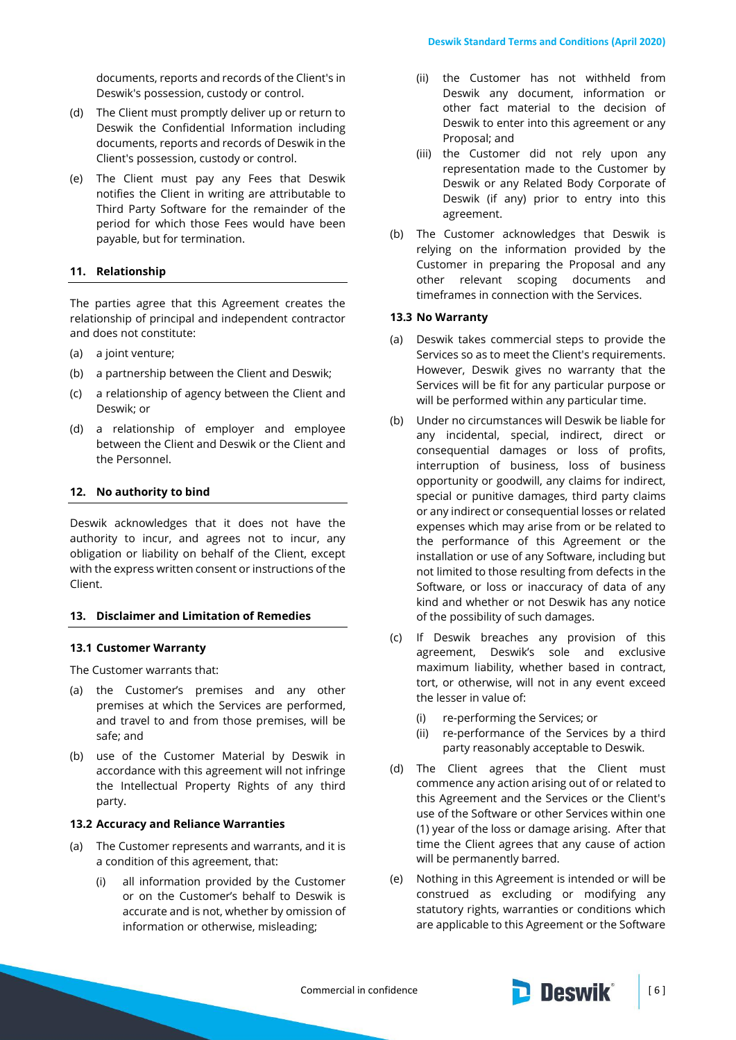documents, reports and records of the Client's in Deswik's possession, custody or control.

- (d) The Client must promptly deliver up or return to Deswik the Confidential Information including documents, reports and records of Deswik in the Client's possession, custody or control.
- (e) The Client must pay any Fees that Deswik notifies the Client in writing are attributable to Third Party Software for the remainder of the period for which those Fees would have been payable, but for termination.

# **11. Relationship**

The parties agree that this Agreement creates the relationship of principal and independent contractor and does not constitute:

- (a) a joint venture;
- (b) a partnership between the Client and Deswik;
- (c) a relationship of agency between the Client and Deswik; or
- (d) a relationship of employer and employee between the Client and Deswik or the Client and the Personnel.

### **12. No authority to bind**

Deswik acknowledges that it does not have the authority to incur, and agrees not to incur, any obligation or liability on behalf of the Client, except with the express written consent or instructions of the Client.

### **13. Disclaimer and Limitation of Remedies**

### **13.1 Customer Warranty**

The Customer warrants that:

- (a) the Customer's premises and any other premises at which the Services are performed, and travel to and from those premises, will be safe; and
- (b) use of the Customer Material by Deswik in accordance with this agreement will not infringe the Intellectual Property Rights of any third party.

### **13.2 Accuracy and Reliance Warranties**

- (a) The Customer represents and warrants, and it is a condition of this agreement, that:
	- (i) all information provided by the Customer or on the Customer's behalf to Deswik is accurate and is not, whether by omission of information or otherwise, misleading;
- (ii) the Customer has not withheld from Deswik any document, information or other fact material to the decision of Deswik to enter into this agreement or any Proposal; and
- (iii) the Customer did not rely upon any representation made to the Customer by Deswik or any Related Body Corporate of Deswik (if any) prior to entry into this agreement.
- (b) The Customer acknowledges that Deswik is relying on the information provided by the Customer in preparing the Proposal and any other relevant scoping documents and timeframes in connection with the Services.

### **13.3 No Warranty**

- (a) Deswik takes commercial steps to provide the Services so as to meet the Client's requirements. However, Deswik gives no warranty that the Services will be fit for any particular purpose or will be performed within any particular time.
- (b) Under no circumstances will Deswik be liable for any incidental, special, indirect, direct or consequential damages or loss of profits, interruption of business, loss of business opportunity or goodwill, any claims for indirect, special or punitive damages, third party claims or any indirect or consequential losses or related expenses which may arise from or be related to the performance of this Agreement or the installation or use of any Software, including but not limited to those resulting from defects in the Software, or loss or inaccuracy of data of any kind and whether or not Deswik has any notice of the possibility of such damages.
- (c) If Deswik breaches any provision of this agreement, Deswik's sole and exclusive maximum liability, whether based in contract, tort, or otherwise, will not in any event exceed the lesser in value of:
	- (i) re-performing the Services; or
	- (ii) re-performance of the Services by a third party reasonably acceptable to Deswik.
- (d) The Client agrees that the Client must commence any action arising out of or related to this Agreement and the Services or the Client's use of the Software or other Services within one (1) year of the loss or damage arising. After that time the Client agrees that any cause of action will be permanently barred.
- (e) Nothing in this Agreement is intended or will be construed as excluding or modifying any statutory rights, warranties or conditions which are applicable to this Agreement or the Software

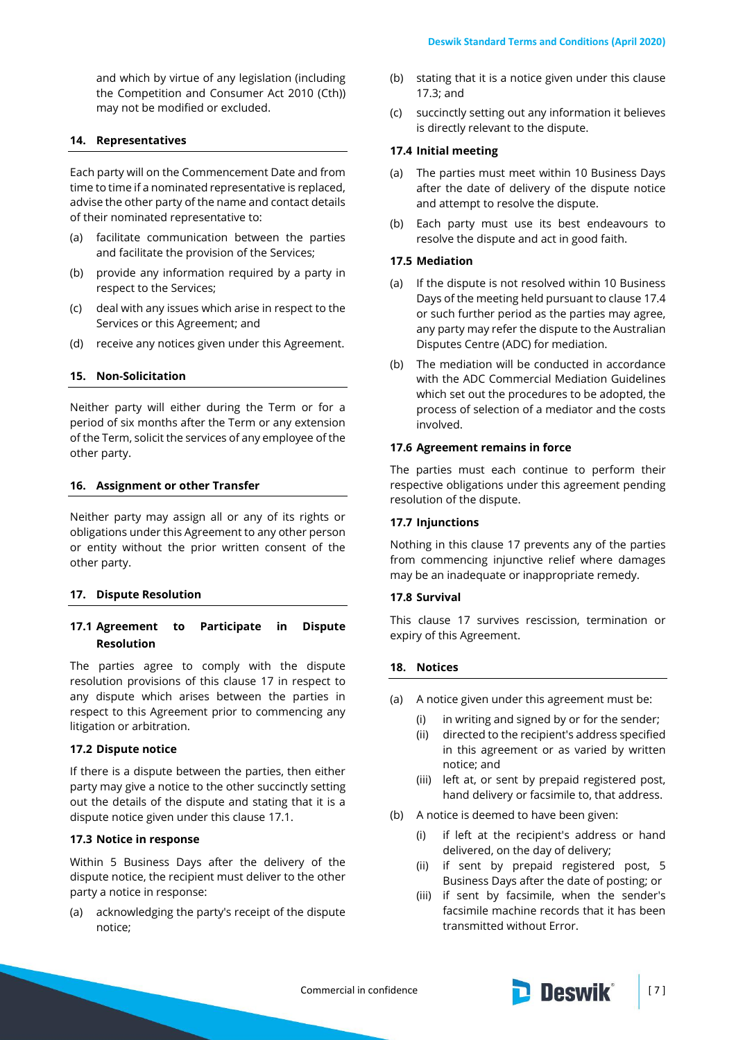and which by virtue of any legislation (including the Competition and Consumer Act 2010 (Cth)) may not be modified or excluded.

### **14. Representatives**

Each party will on the Commencement Date and from time to time if a nominated representative is replaced, advise the other party of the name and contact details of their nominated representative to:

- (a) facilitate communication between the parties and facilitate the provision of the Services;
- (b) provide any information required by a party in respect to the Services;
- (c) deal with any issues which arise in respect to the Services or this Agreement; and
- (d) receive any notices given under this Agreement.

### **15. Non-Solicitation**

Neither party will either during the Term or for a period of six months after the Term or any extension of the Term, solicit the services of any employee of the other party.

#### **16. Assignment or other Transfer**

Neither party may assign all or any of its rights or obligations under this Agreement to any other person or entity without the prior written consent of the other party.

#### <span id="page-6-0"></span>**17. Dispute Resolution**

# <span id="page-6-1"></span>**17.1 Agreement to Participate in Dispute Resolution**

The parties agree to comply with the dispute resolution provisions of this clause [17](#page-6-0) in respect to any dispute which arises between the parties in respect to this Agreement prior to commencing any litigation or arbitration.

### **17.2 Dispute notice**

If there is a dispute between the parties, then either party may give a notice to the other succinctly setting out the details of the dispute and stating that it is a dispute notice given under this clause [17.1.](#page-6-1)

### <span id="page-6-2"></span>**17.3 Notice in response**

Within 5 Business Days after the delivery of the dispute notice, the recipient must deliver to the other party a notice in response:

(a) acknowledging the party's receipt of the dispute notice;

- (b) stating that it is a notice given under this clause [17.3;](#page-6-2) and
- (c) succinctly setting out any information it believes is directly relevant to the dispute.

#### <span id="page-6-3"></span>**17.4 Initial meeting**

- (a) The parties must meet within 10 Business Days after the date of delivery of the dispute notice and attempt to resolve the dispute.
- (b) Each party must use its best endeavours to resolve the dispute and act in good faith.

#### **17.5 Mediation**

- (a) If the dispute is not resolved within 10 Business Days of the meeting held pursuant to clause [17.4](#page-6-3) or such further period as the parties may agree, any party may refer the dispute to the Australian Disputes Centre (ADC) for mediation.
- (b) The mediation will be conducted in accordance with the ADC Commercial Mediation Guidelines which set out the procedures to be adopted, the process of selection of a mediator and the costs involved.

#### **17.6 Agreement remains in force**

The parties must each continue to perform their respective obligations under this agreement pending resolution of the dispute.

### **17.7 Injunctions**

Nothing in this clause [17](#page-6-0) prevents any of the parties from commencing injunctive relief where damages may be an inadequate or inappropriate remedy.

### **17.8 Survival**

This clause [17](#page-6-0) survives rescission, termination or expiry of this Agreement.

#### <span id="page-6-4"></span>**18. Notices**

- (a) A notice given under this agreement must be:
	- (i) in writing and signed by or for the sender;
	- (ii) directed to the recipient's address specified in this agreement or as varied by written notice; and
	- (iii) left at, or sent by prepaid registered post, hand delivery or facsimile to, that address.
- (b) A notice is deemed to have been given:
	- (i) if left at the recipient's address or hand delivered, on the day of delivery;
	- (ii) if sent by prepaid registered post, 5 Business Days after the date of posting; or
	- (iii) if sent by facsimile, when the sender's facsimile machine records that it has been transmitted without Error.

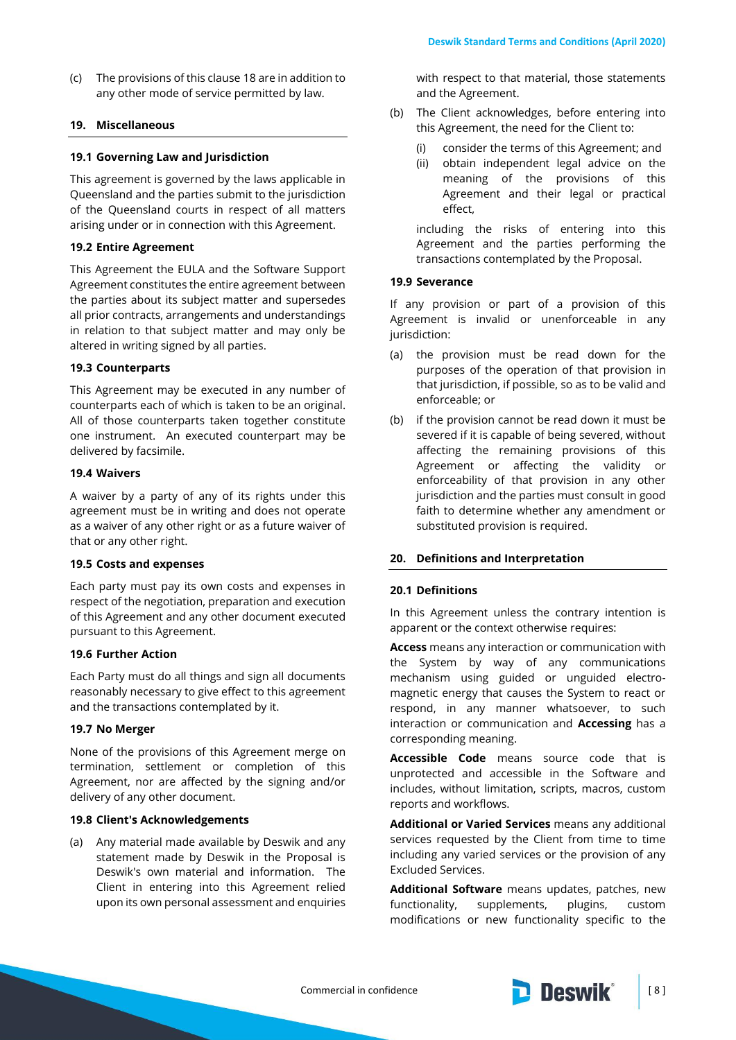(c) The provisions of this clause [18](#page-6-4) are in addition to any other mode of service permitted by law.

# **19. Miscellaneous**

### **19.1 Governing Law and Jurisdiction**

This agreement is governed by the laws applicable in Queensland and the parties submit to the jurisdiction of the Queensland courts in respect of all matters arising under or in connection with this Agreement.

### **19.2 Entire Agreement**

This Agreement the EULA and the Software Support Agreement constitutes the entire agreement between the parties about its subject matter and supersedes all prior contracts, arrangements and understandings in relation to that subject matter and may only be altered in writing signed by all parties.

### **19.3 Counterparts**

This Agreement may be executed in any number of counterparts each of which is taken to be an original. All of those counterparts taken together constitute one instrument. An executed counterpart may be delivered by facsimile.

### **19.4 Waivers**

A waiver by a party of any of its rights under this agreement must be in writing and does not operate as a waiver of any other right or as a future waiver of that or any other right.

### **19.5 Costs and expenses**

Each party must pay its own costs and expenses in respect of the negotiation, preparation and execution of this Agreement and any other document executed pursuant to this Agreement.

# **19.6 Further Action**

Each Party must do all things and sign all documents reasonably necessary to give effect to this agreement and the transactions contemplated by it.

### **19.7 No Merger**

None of the provisions of this Agreement merge on termination, settlement or completion of this Agreement, nor are affected by the signing and/or delivery of any other document.

# **19.8 Client's Acknowledgements**

(a) Any material made available by Deswik and any statement made by Deswik in the Proposal is Deswik's own material and information. The Client in entering into this Agreement relied upon its own personal assessment and enquiries with respect to that material, those statements and the Agreement.

- (b) The Client acknowledges, before entering into this Agreement, the need for the Client to:
	- (i) consider the terms of this Agreement; and
	- (ii) obtain independent legal advice on the meaning of the provisions of this Agreement and their legal or practical effect,

including the risks of entering into this Agreement and the parties performing the transactions contemplated by the Proposal.

### **19.9 Severance**

If any provision or part of a provision of this Agreement is invalid or unenforceable in any jurisdiction:

- (a) the provision must be read down for the purposes of the operation of that provision in that jurisdiction, if possible, so as to be valid and enforceable; or
- (b) if the provision cannot be read down it must be severed if it is capable of being severed, without affecting the remaining provisions of this Agreement or affecting the validity or enforceability of that provision in any other jurisdiction and the parties must consult in good faith to determine whether any amendment or substituted provision is required.

# **20. Definitions and Interpretation**

# **20.1 Definitions**

In this Agreement unless the contrary intention is apparent or the context otherwise requires:

**Access** means any interaction or communication with the System by way of any communications mechanism using guided or unguided electromagnetic energy that causes the System to react or respond, in any manner whatsoever, to such interaction or communication and **Accessing** has a corresponding meaning.

**Accessible Code** means source code that is unprotected and accessible in the Software and includes, without limitation, scripts, macros, custom reports and workflows.

**Additional or Varied Services** means any additional services requested by the Client from time to time including any varied services or the provision of any Excluded Services.

**Additional Software** means updates, patches, new functionality, supplements, plugins, custom modifications or new functionality specific to the

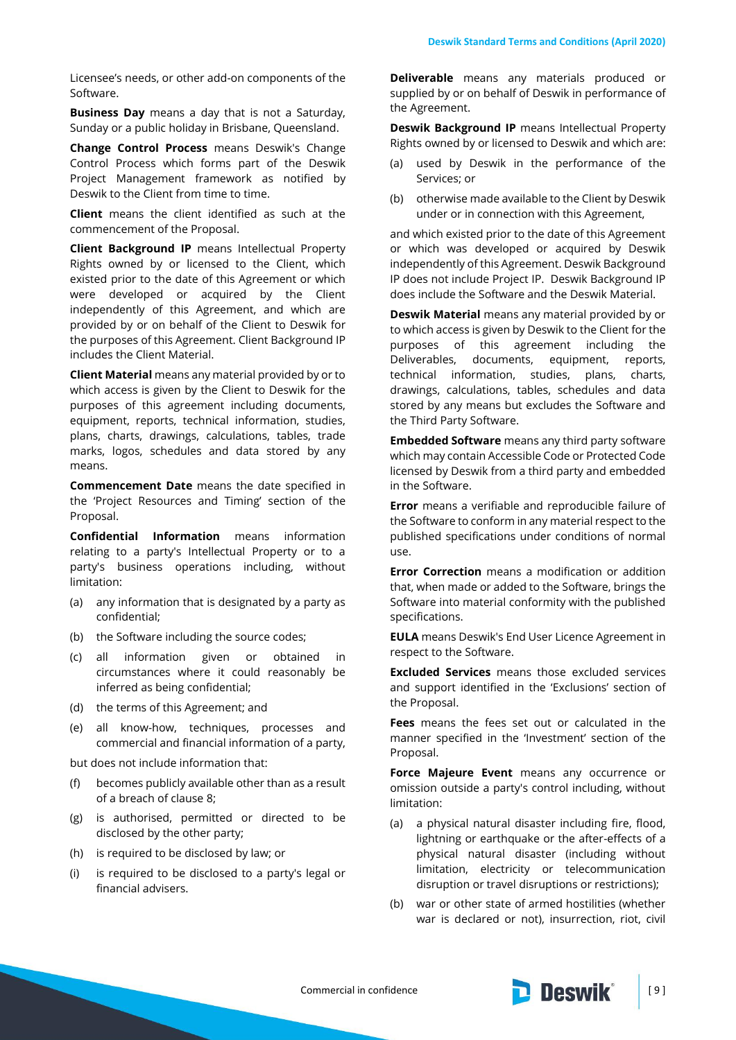Licensee's needs, or other add-on components of the Software.

**Business Day** means a day that is not a Saturday, Sunday or a public holiday in Brisbane, Queensland.

**Change Control Process** means Deswik's Change Control Process which forms part of the Deswik Project Management framework as notified by Deswik to the Client from time to time.

**Client** means the client identified as such at the commencement of the Proposal.

**Client Background IP** means Intellectual Property Rights owned by or licensed to the Client, which existed prior to the date of this Agreement or which were developed or acquired by the Client independently of this Agreement, and which are provided by or on behalf of the Client to Deswik for the purposes of this Agreement. Client Background IP includes the Client Material.

**Client Material** means any material provided by or to which access is given by the Client to Deswik for the purposes of this agreement including documents, equipment, reports, technical information, studies, plans, charts, drawings, calculations, tables, trade marks, logos, schedules and data stored by any means.

**Commencement Date** means the date specified in the 'Project Resources and Timing' section of the Proposal.

**Confidential Information** means information relating to a party's Intellectual Property or to a party's business operations including, without limitation:

- (a) any information that is designated by a party as confidential;
- (b) the Software including the source codes;
- (c) all information given or obtained in circumstances where it could reasonably be inferred as being confidential;
- (d) the terms of this Agreement; and
- (e) all know-how, techniques, processes and commercial and financial information of a party,

but does not include information that:

- (f) becomes publicly available other than as a result of a breach of clause [8;](#page-4-0)
- (g) is authorised, permitted or directed to be disclosed by the other party;
- (h) is required to be disclosed by law; or
- (i) is required to be disclosed to a party's legal or financial advisers.

**Deliverable** means any materials produced or supplied by or on behalf of Deswik in performance of the Agreement.

**Deswik Background IP** means Intellectual Property Rights owned by or licensed to Deswik and which are:

- (a) used by Deswik in the performance of the Services; or
- (b) otherwise made available to the Client by Deswik under or in connection with this Agreement,

and which existed prior to the date of this Agreement or which was developed or acquired by Deswik independently of this Agreement. Deswik Background IP does not include Project IP. Deswik Background IP does include the Software and the Deswik Material.

**Deswik Material** means any material provided by or to which access is given by Deswik to the Client for the purposes of this agreement including the Deliverables, documents, equipment, reports, technical information, studies, plans, charts, drawings, calculations, tables, schedules and data stored by any means but excludes the Software and the Third Party Software.

**Embedded Software** means any third party software which may contain Accessible Code or Protected Code licensed by Deswik from a third party and embedded in the Software.

**Error** means a verifiable and reproducible failure of the Software to conform in any material respect to the published specifications under conditions of normal use.

**Error Correction** means a modification or addition that, when made or added to the Software, brings the Software into material conformity with the published specifications.

**EULA** means Deswik's End User Licence Agreement in respect to the Software.

**Excluded Services** means those excluded services and support identified in the 'Exclusions' section of the Proposal.

**Fees** means the fees set out or calculated in the manner specified in the 'Investment' section of the Proposal.

**Force Majeure Event** means any occurrence or omission outside a party's control including, without limitation:

- (a) a physical natural disaster including fire, flood, lightning or earthquake or the after-effects of a physical natural disaster (including without limitation, electricity or telecommunication disruption or travel disruptions or restrictions);
- (b) war or other state of armed hostilities (whether war is declared or not), insurrection, riot, civil

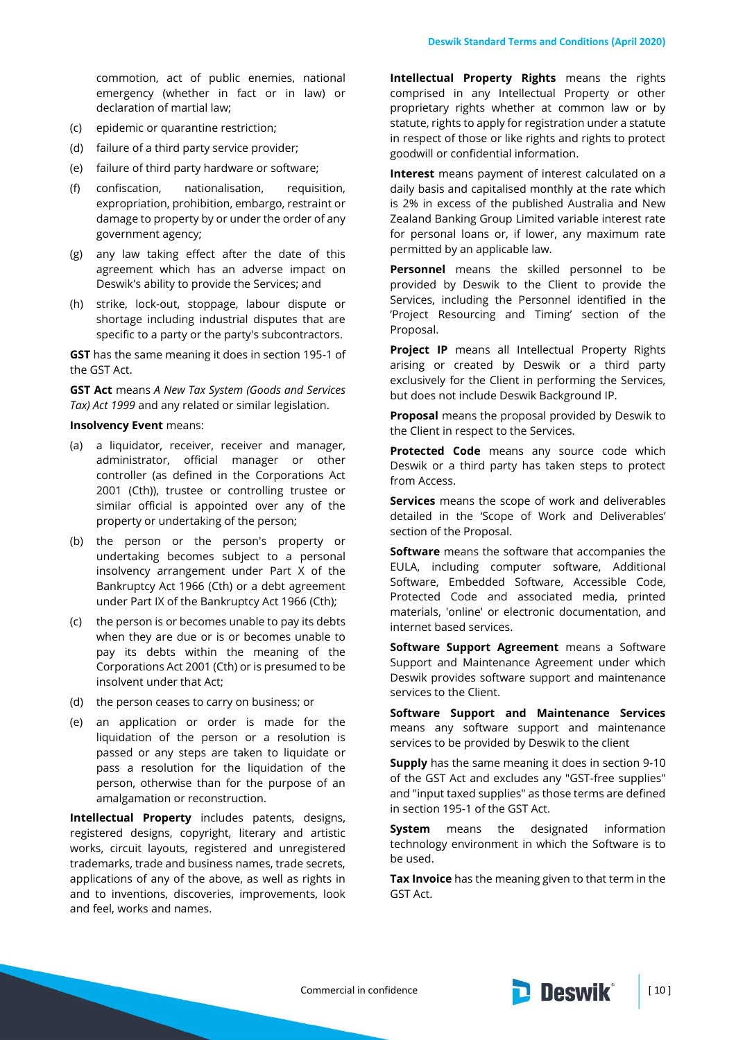commotion, act of public enemies, national emergency (whether in fact or in law) or declaration of martial law;

- (c) epidemic or quarantine restriction;
- (d) failure of a third party service provider;
- (e) failure of third party hardware or software;
- (f) confiscation, nationalisation, requisition, expropriation, prohibition, embargo, restraint or damage to property by or under the order of any government agency;
- (g) any law taking effect after the date of this agreement which has an adverse impact on Deswik's ability to provide the Services; and
- (h) strike, lock-out, stoppage, labour dispute or shortage including industrial disputes that are specific to a party or the party's subcontractors.

**GST** has the same meaning it does in section 195-1 of the GST Act.

**GST Act** means *A New Tax System (Goods and Services Tax) Act 1999* and any related or similar legislation.

#### **Insolvency Event** means:

- (a) a liquidator, receiver, receiver and manager, administrator, official manager or other controller (as defined in the Corporations Act 2001 (Cth)), trustee or controlling trustee or similar official is appointed over any of the property or undertaking of the person;
- (b) the person or the person's property or undertaking becomes subject to a personal insolvency arrangement under Part X of the Bankruptcy Act 1966 (Cth) or a debt agreement under Part IX of the Bankruptcy Act 1966 (Cth);
- (c) the person is or becomes unable to pay its debts when they are due or is or becomes unable to pay its debts within the meaning of the Corporations Act 2001 (Cth) or is presumed to be insolvent under that Act;
- (d) the person ceases to carry on business; or
- (e) an application or order is made for the liquidation of the person or a resolution is passed or any steps are taken to liquidate or pass a resolution for the liquidation of the person, otherwise than for the purpose of an amalgamation or reconstruction.

**Intellectual Property** includes patents, designs, registered designs, copyright, literary and artistic works, circuit layouts, registered and unregistered trademarks, trade and business names, trade secrets, applications of any of the above, as well as rights in and to inventions, discoveries, improvements, look and feel, works and names.

**Intellectual Property Rights** means the rights comprised in any Intellectual Property or other proprietary rights whether at common law or by statute, rights to apply for registration under a statute in respect of those or like rights and rights to protect goodwill or confidential information.

**Interest** means payment of interest calculated on a daily basis and capitalised monthly at the rate which is 2% in excess of the published Australia and New Zealand Banking Group Limited variable interest rate for personal loans or, if lower, any maximum rate permitted by an applicable law.

**Personnel** means the skilled personnel to be provided by Deswik to the Client to provide the Services, including the Personnel identified in the 'Project Resourcing and Timing' section of the Proposal.

**Project IP** means all Intellectual Property Rights arising or created by Deswik or a third party exclusively for the Client in performing the Services, but does not include Deswik Background IP.

**Proposal** means the proposal provided by Deswik to the Client in respect to the Services.

**Protected Code** means any source code which Deswik or a third party has taken steps to protect from Access.

**Services** means the scope of work and deliverables detailed in the 'Scope of Work and Deliverables' section of the Proposal.

**Software** means the software that accompanies the EULA, including computer software, Additional Software, Embedded Software, Accessible Code, Protected Code and associated media, printed materials, 'online' or electronic documentation, and internet based services.

**Software Support Agreement** means a Software Support and Maintenance Agreement under which Deswik provides software support and maintenance services to the Client.

**Software Support and Maintenance Services** means any software support and maintenance services to be provided by Deswik to the client

**Supply** has the same meaning it does in section 9-10 of the GST Act and excludes any "GST-free supplies" and "input taxed supplies" as those terms are defined in section 195-1 of the GST Act.

**System** means the designated information technology environment in which the Software is to be used.

**Tax Invoice** has the meaning given to that term in the GST Act.